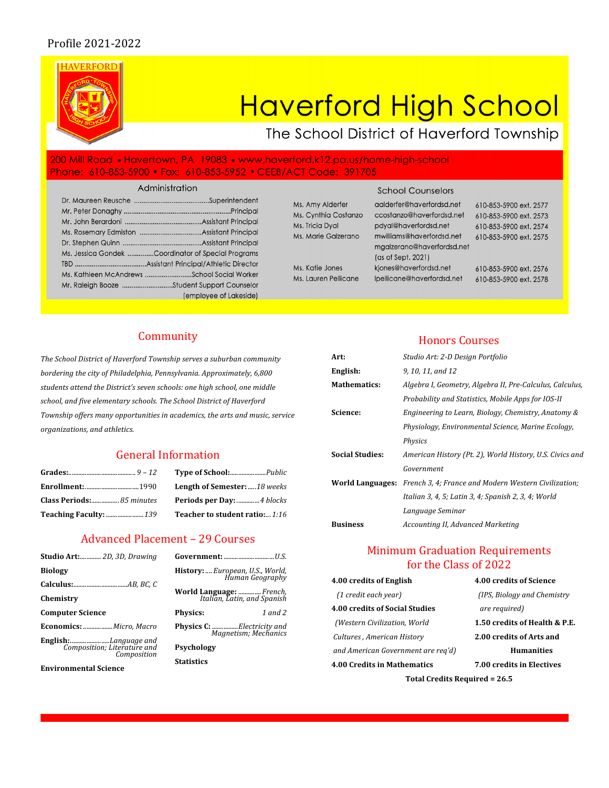# Profile 2021-2022



# Community

The School District of Haverford Township serves a suburban community bordering the city of Philadelphia, Pennsylvania. Approximately, 6,800 students attend the District's seven schools: one high school, one middle school, and five elementary schools. The School District of Haverford Township offers many opportunities in academics, the arts and music, service *organizations, and athletics.*

# General Information

| <b>Enrollment:</b> 1990   |  |
|---------------------------|--|
| Class Periods: 85 minutes |  |
|                           |  |

**Grades:**......................................... *9 – 12* **Type of School:**......................*Public* **Length of Semester:** .....18 weeks **Class Periods:**................. *85 minutes* **Periods per Day:** ..............*4 blocks* **Teacher to student ratio:...1:16** 

### Advanced Placement - 29 Courses

| <b>Studio Art:</b> 2D, 3D, Drawing                                         |                                                         |
|----------------------------------------------------------------------------|---------------------------------------------------------|
| Biology                                                                    | History:  European, U.S., World,<br>Human Geography     |
| Chemistry                                                                  | World Language:  French,<br>Italian, Latin, and Spanish |
| <b>Computer Science</b>                                                    | 1 and 2<br><b>Physics:</b>                              |
| Economics: Micro, Macro                                                    | Physics C: Electricity and<br>Magnetism; Mechanics      |
| <b>English:</b> Language and<br>Composition; Literature and<br>Composition | Psychology                                              |
| <b>Environmental Science</b>                                               | <b>Statistics</b>                                       |

| History:  European, U.S., World,<br>Human Geography               |
|-------------------------------------------------------------------|
| World Language:  French,<br>Italian, Latin, and Spanish           |
| 1 and 2<br>Physics:                                               |
| <b>Physics C:</b> Electricity and<br><b>Magnetism</b> ; Mechanics |
| Psychology                                                        |
| Statistics                                                        |
|                                                                   |

### **Honors Courses**

| Art:                    | Studio Art: 2-D Design Portfolio                         |
|-------------------------|----------------------------------------------------------|
| English:                | 9, 10, 11, and 12                                        |
| <b>Mathematics:</b>     | Algebra I, Geometry, Algebra II, Pre-Calculus, Calculus, |
|                         | Probability and Statistics, Mobile Apps for IOS-II       |
| Science:                | Engineering to Learn, Biology, Chemistry, Anatomy &      |
|                         | Physiology, Environmental Science, Marine Ecology,       |
|                         | <b>Physics</b>                                           |
| <b>Social Studies:</b>  | American History (Pt. 2), World History, U.S. Civics and |
|                         | Government                                               |
| <b>World Languages:</b> | French 3, 4; France and Modern Western Civilization;     |
|                         | Italian 3, 4, 5; Latin 3, 4; Spanish 2, 3, 4; World      |
|                         | Language Seminar                                         |
| <b>Business</b>         | Accounting II, Advanced Marketing                        |
|                         |                                                          |

# **Minimum Graduation Requirements** for the Class of 2022

| 4.00 credits of English               | 4.00 credits of Science       |  |  |
|---------------------------------------|-------------------------------|--|--|
| (1 credit each year)                  | (IPS, Biology and Chemistry)  |  |  |
| <b>4.00 credits of Social Studies</b> | are required)                 |  |  |
| (Western Civilization, World          | 1.50 credits of Health & P.E. |  |  |
| Cultures, American History            | 2.00 credits of Arts and      |  |  |
| and American Government are reg'd)    | <b>Humanities</b>             |  |  |
| 4.00 Credits in Mathematics           | 7.00 credits in Electives     |  |  |
| Total Credits Required = 26.5         |                               |  |  |